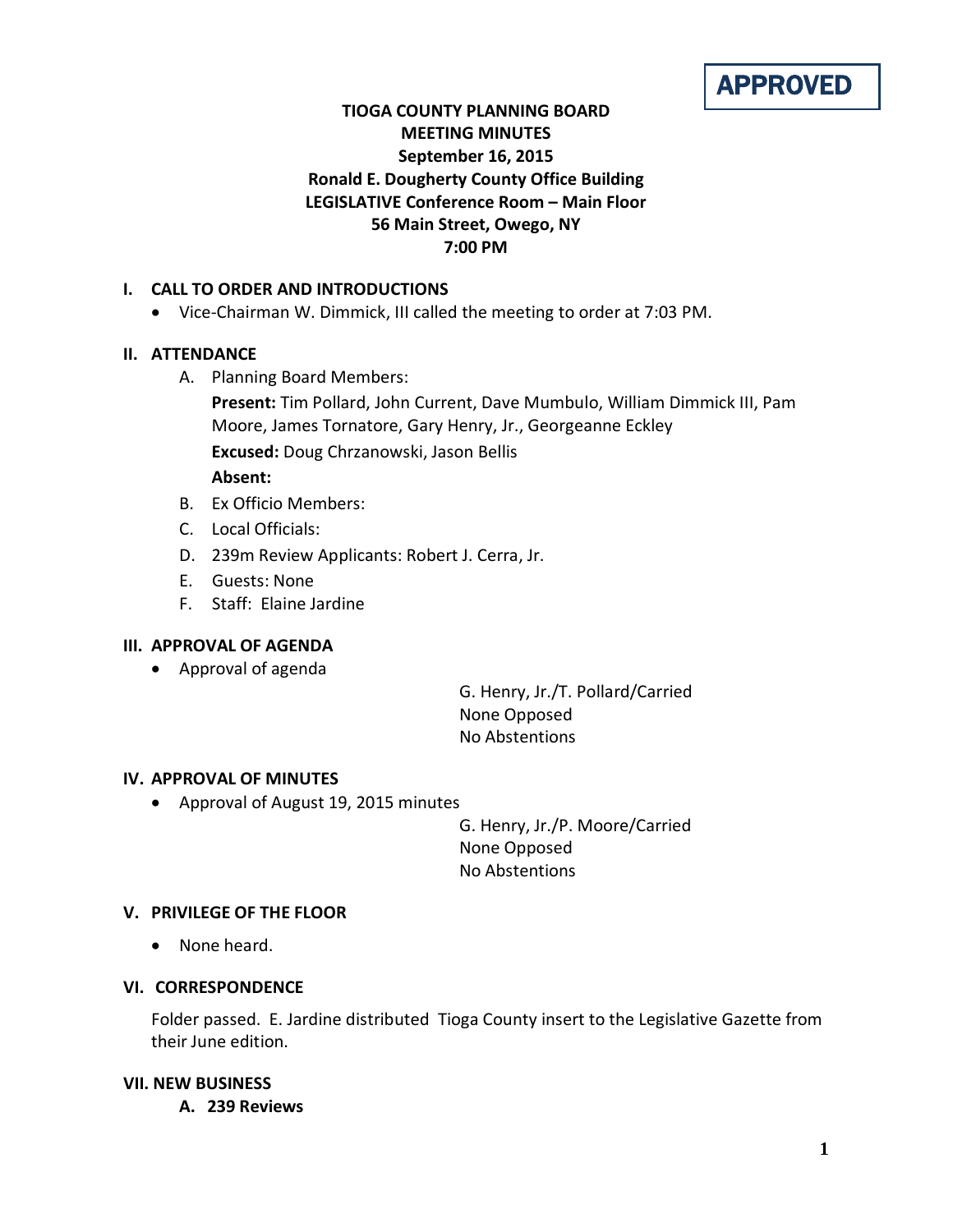# APPROVED

# **TIOGA COUNTY PLANNING BOARD MEETING MINUTES September 16, 2015 Ronald E. Dougherty County Office Building LEGISLATIVE Conference Room – Main Floor 56 Main Street, Owego, NY 7:00 PM**

### **I. CALL TO ORDER AND INTRODUCTIONS**

• Vice-Chairman W. Dimmick, III called the meeting to order at 7:03 PM.

# **II. ATTENDANCE**

A. Planning Board Members:

**Present:** Tim Pollard, John Current, Dave Mumbulo, William Dimmick III, Pam Moore, James Tornatore, Gary Henry, Jr., Georgeanne Eckley **Excused:** Doug Chrzanowski, Jason Bellis **Absent:**

- B. Ex Officio Members:
- C. Local Officials:
- D. 239m Review Applicants: Robert J. Cerra, Jr.
- E. Guests: None
- F. Staff: Elaine Jardine

# **III. APPROVAL OF AGENDA**

• Approval of agenda

G. Henry, Jr./T. Pollard/Carried None Opposed No Abstentions

### **IV. APPROVAL OF MINUTES**

• Approval of August 19, 2015 minutes

G. Henry, Jr./P. Moore/Carried None Opposed No Abstentions

### **V. PRIVILEGE OF THE FLOOR**

• None heard.

### **VI. CORRESPONDENCE**

Folder passed. E. Jardine distributed Tioga County insert to the Legislative Gazette from their June edition.

#### **VII. NEW BUSINESS**

**A. 239 Reviews**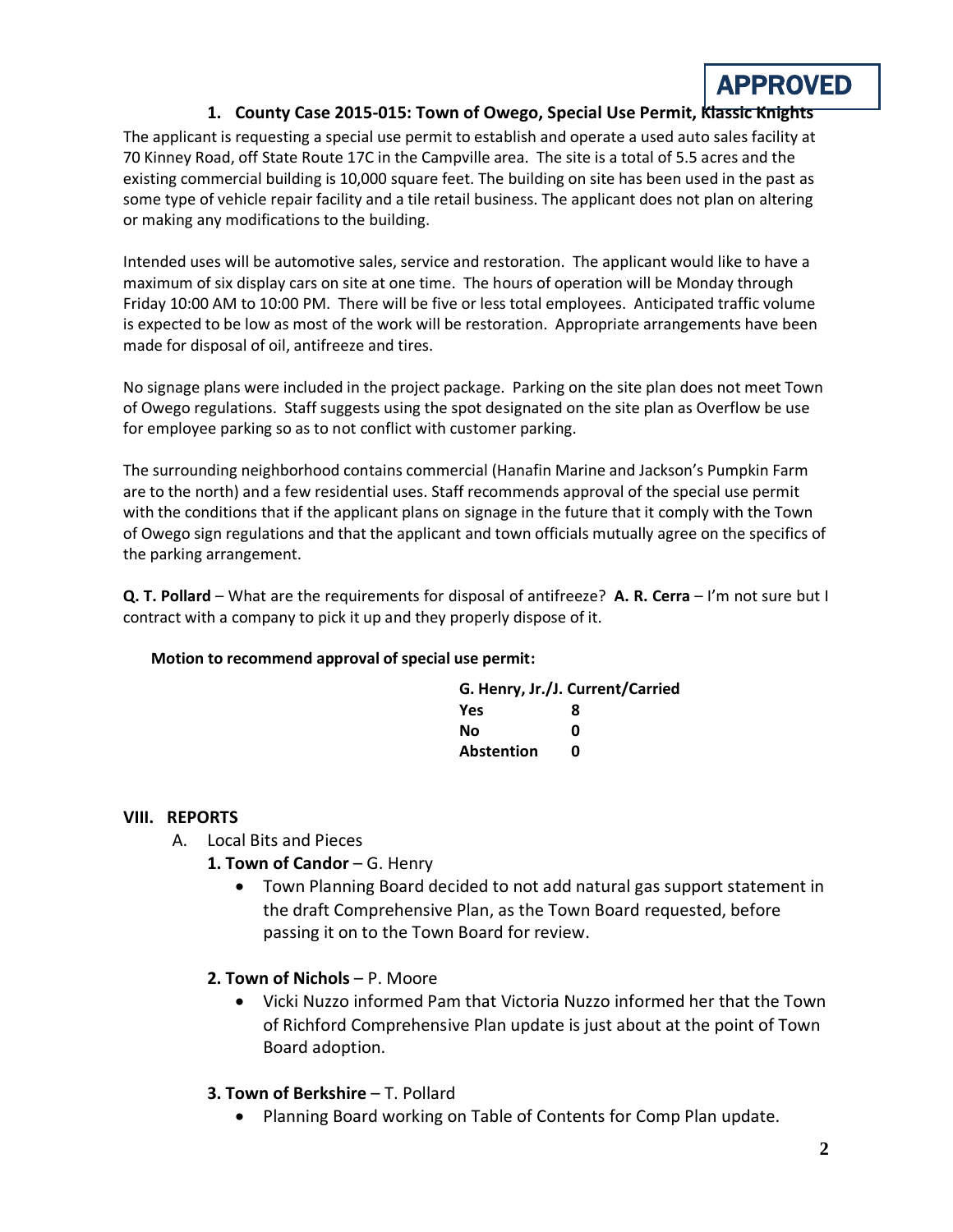# APPROVED

# **1. County Case 2015-015: Town of Owego, Special Use Permit, Klassic Knights**

The applicant is requesting a special use permit to establish and operate a used auto sales facility at 70 Kinney Road, off State Route 17C in the Campville area. The site is a total of 5.5 acres and the existing commercial building is 10,000 square feet. The building on site has been used in the past as some type of vehicle repair facility and a tile retail business. The applicant does not plan on altering or making any modifications to the building.

Intended uses will be automotive sales, service and restoration. The applicant would like to have a maximum of six display cars on site at one time. The hours of operation will be Monday through Friday 10:00 AM to 10:00 PM. There will be five or less total employees. Anticipated traffic volume is expected to be low as most of the work will be restoration. Appropriate arrangements have been made for disposal of oil, antifreeze and tires.

No signage plans were included in the project package. Parking on the site plan does not meet Town of Owego regulations. Staff suggests using the spot designated on the site plan as Overflow be use for employee parking so as to not conflict with customer parking.

The surrounding neighborhood contains commercial (Hanafin Marine and Jackson's Pumpkin Farm are to the north) and a few residential uses. Staff recommends approval of the special use permit with the conditions that if the applicant plans on signage in the future that it comply with the Town of Owego sign regulations and that the applicant and town officials mutually agree on the specifics of the parking arrangement.

**Q. T. Pollard** – What are the requirements for disposal of antifreeze? **A. R. Cerra** – I'm not sure but I contract with a company to pick it up and they properly dispose of it.

#### **Motion to recommend approval of special use permit:**

| G. Henry, Jr./J. Current/Carried |   |
|----------------------------------|---|
| Yes                              | 8 |
| Nο                               | ŋ |
| <b>Abstention</b>                | n |

### **VIII. REPORTS**

- A. Local Bits and Pieces
	- 1. Town of Candor G. Henry
		- Town Planning Board decided to not add natural gas support statement in the draft Comprehensive Plan, as the Town Board requested, before passing it on to the Town Board for review.
	- **2. Town of Nichols**  P. Moore
		- Vicki Nuzzo informed Pam that Victoria Nuzzo informed her that the Town of Richford Comprehensive Plan update is just about at the point of Town Board adoption.

### **3. Town of Berkshire** – T. Pollard

• Planning Board working on Table of Contents for Comp Plan update.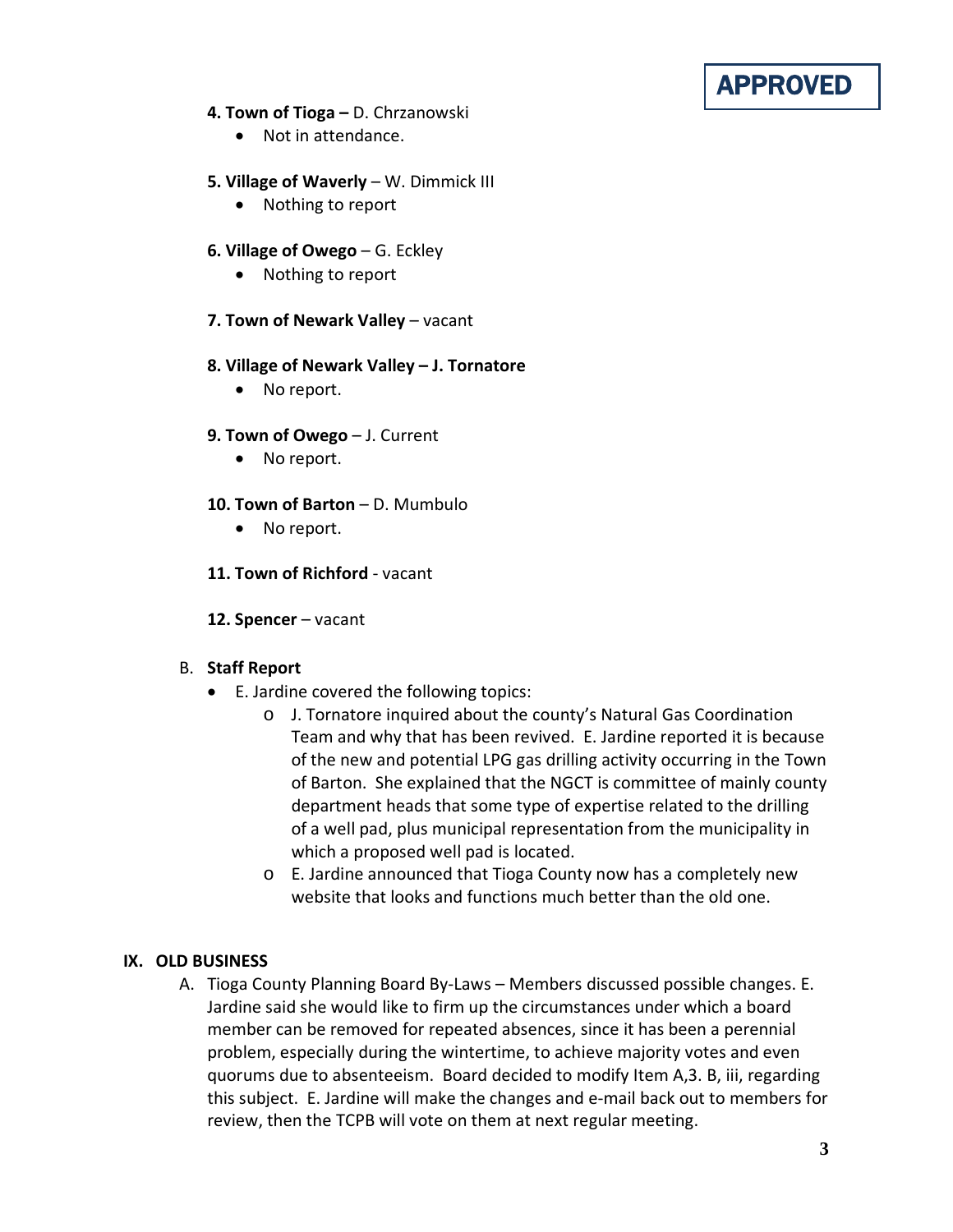# APPROVED

### **4. Town of Tioga –** D. Chrzanowski

• Not in attendance.

# **5. Village of Waverly** – W. Dimmick III

• Nothing to report

# **6. Village of Owego** – G. Eckley

• Nothing to report

# **7. Town of Newark Valley** – vacant

### **8. Village of Newark Valley – J. Tornatore**

• No report.

### **9. Town of Owego** – J. Current

• No report.

# **10. Town of Barton** – D. Mumbulo

• No report.

# **11. Town of Richford** - vacant

### **12. Spencer** – vacant

# B. **Staff Report**

- E. Jardine covered the following topics:
	- o J. Tornatore inquired about the county's Natural Gas Coordination Team and why that has been revived. E. Jardine reported it is because of the new and potential LPG gas drilling activity occurring in the Town of Barton. She explained that the NGCT is committee of mainly county department heads that some type of expertise related to the drilling of a well pad, plus municipal representation from the municipality in which a proposed well pad is located.
	- o E. Jardine announced that Tioga County now has a completely new website that looks and functions much better than the old one.

### **IX. OLD BUSINESS**

A. Tioga County Planning Board By-Laws – Members discussed possible changes. E. Jardine said she would like to firm up the circumstances under which a board member can be removed for repeated absences, since it has been a perennial problem, especially during the wintertime, to achieve majority votes and even quorums due to absenteeism. Board decided to modify Item A,3. B, iii, regarding this subject. E. Jardine will make the changes and e-mail back out to members for review, then the TCPB will vote on them at next regular meeting.